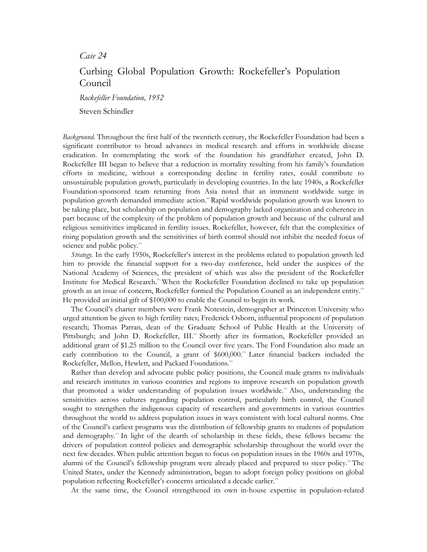*Case 24* 

## Curbing Global Population Growth: Rockefeller's Population Council

*Rockefeller Foundation, 1952* 

Steven Schindler

*Background.* Throughout the first half of the twentieth century, the Rockefeller Foundation had been a significant contributor to broad advances in medical research and efforts in worldwide disease eradication. In contemplating the work of the foundation his grandfather created, John D. Rockefeller III began to believe that a reduction in mortality resulting from his family's foundation efforts in medicine, without a corresponding decline in fertility rates, could contribute to unsustainable population growth, particularly in developing countries. In the late 1940s, a Rockefeller Foundation-sponsored team returning from Asia noted that an imminent worldwide surge in population growth demanded immediate action.<sup>36</sup> Rapid worldwide population growth was known to be taking place, but scholarship on population and demography lacked organization and coherence in part because of the complexity of the problem of population growth and because of the cultural and religious sensitivities implicated in fertility issues. Rockefeller, however, felt that the complexities of rising population growth and the sensitivities of birth control should not inhibit the needed focus of science and public policy.<sup>370</sup>

*Strategy.* In the early 1950s, Rockefeller's interest in the problems related to population growth led him to provide the financial support for a two-day conference, held under the auspices of the National Academy of Sciences, the president of which was also the president of the Rockefeller Institute for Medical Research.<sup>37</sup> When the Rockefeller Foundation declined to take up population growth as an issue of concern, Rockefeller formed the Population Council as an independent entity.<sup>37</sup> He provided an initial gift of \$100,000 to enable the Council to begin its work.

The Council's charter members were Frank Notestein, demographer at Princeton University who urged attention be given to high fertility rates; Frederick Osborn, influential proponent of population research; Thomas Parran, dean of the Graduate School of Public Health at the University of Pittsburgh; and John D. Rockefeller, III.<sup>33</sup> Shortly after its formation, Rockefeller provided an additional grant of \$1.25 million to the Council over five years. The Ford Foundation also made an early contribution to the Council, a grant of  $$600,000$ .<sup>34</sup> Later financial backers included the Rockefeller, Mellon, Hewlett, and Packard Foundations.<sup>375</sup>

Rather than develop and advocate public policy positions, the Council made grants to individuals and research institutes in various countries and regions to improve research on population growth that promoted a wider understanding of population issues worldwide.<sup>36</sup> Also, understanding the sensitivities across cultures regarding population control, particularly birth control, the Council sought to strengthen the indigenous capacity of researchers and governments in various countries throughout the world to address population issues in ways consistent with local cultural norms. One of the Council's earliest programs was the distribution of fellowship grants to students of population and demography.<sup>37</sup> In light of the dearth of scholarship in these fields, these fellows became the drivers of population control policies and demographic scholarship throughout the world over the next few decades. When public attention began to focus on population issues in the 1960s and 1970s, alumni of the Council's fellowship program were already placed and prepared to steer policy.<sup>38</sup> The United States, under the Kennedy administration, began to adopt foreign policy positions on global population reflecting Rockefeller's concerns articulated a decade earlier.<sup>37</sup>

At the same time, the Council strengthened its own in-house expertise in population-related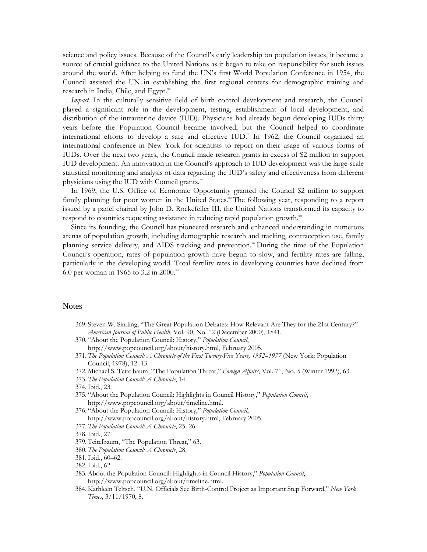science and policy issues. Because of the Council's early leadership on population issues, it became a source of crucial guidance to the United Nations as it began to take on responsibility for such issues around the world. After helping to fund the UN's first World Population Conference in 1954, the Council assisted the UN in establishing the first regional centers for demographic training and research in India, Chile, and Egypt.<sup>380</sup>

*Impact.* In the culturally sensitive field of birth control development and research, the Council played a significant role in the development, testing, establishment of local development, and distribution of the intrauterine device (IUD). Physicians had already begun developing IUDs thirty years before the Population Council became involved, but the Council helped to coordinate international efforts to develop a safe and effective IUD.<sup>381</sup> In 1962, the Council organized an international conference in New York for scientists to report on their usage of various forms of IUDs. Over the next two years, the Council made research grants in excess of \$2 million to support IUD development. An innovation in the Council's approach to IUD development was the large-scale statistical monitoring and analysis of data regarding the IUD's safety and effectiveness from different physicians using the IUD with Council grants.<sup>382</sup>

In 1969, the U.S. Office of Economic Opportunity granted the Council \$2 million to support family planning for poor women in the United States.<sup>38</sup> The following year, responding to a report issued by a panel chaired by John D. Rockefeller III, the United Nations transformed its capacity to respond to countries requesting assistance in reducing rapid population growth.<sup>84</sup>

Since its founding, the Council has pioneered research and enhanced understanding in numerous arenas of population growth, including demographic research and tracking, contraception use, family planning service delivery, and AIDS tracking and prevention.<sup>88</sup> During the time of the Population Council's operation, rates of population growth have begun to slow, and fertility rates are falling, particularly in the developing world. Total fertility rates in developing countries have declined from 6.0 per woman in 1965 to 3.2 in 2000.<sup>36</sup>

## **Notes**

- 369. Steven W. Sinding, "The Great Population Debates: How Relevant Are They for the 21st Century?" *American Journal of Public Health*, Vol. 90, No. 12 (December 2000), 1841.
- 370. "About the Population Council: History," *Population Council*, http://www.popcouncil.org/about/history.html, February 2005.
- 371. *The Population Council: A Chronicle of the First Twenty-Five Years, 1952–1977* (New York: Population Council, 1978), 12–13.
- 372. Michael S. Teitelbaum, "The Population Threat," *Foreign Affairs*, Vol. 71, No. 5 (Winter 1992), 63.
- 373. *The Population Council: A Chronicle*, 14.
- 374.Ibid., 23.
- 375. "About the Population Council: Highlights in Council History," *Population Council*, http://www.popcouncil.org/about/timeline.html.
- 376. "About the Population Council: History," *Population Council*, http://www.popcouncil.org/about/history.html, February 2005.
- 377. *The Population Council: A Chronicle*, 25–26.
- 378.Ibid., 27.
- 379. Teitelbaum, "The Population Threat," 63.
- 380. *The Population Council: A Chronicle*, 28.
- 381.Ibid., 60–62.
- 382.Ibid., 62.
- 383. About the Population Council: Highlights in Council History," *Population Council*, http://www.popcouncil.org/about/timeline.html.
- 384. Kathleen Teltsch, "U.N. Officials See Birth-Control Project as Important Step Forward," *New York Times*, 3/11/1970, 8.